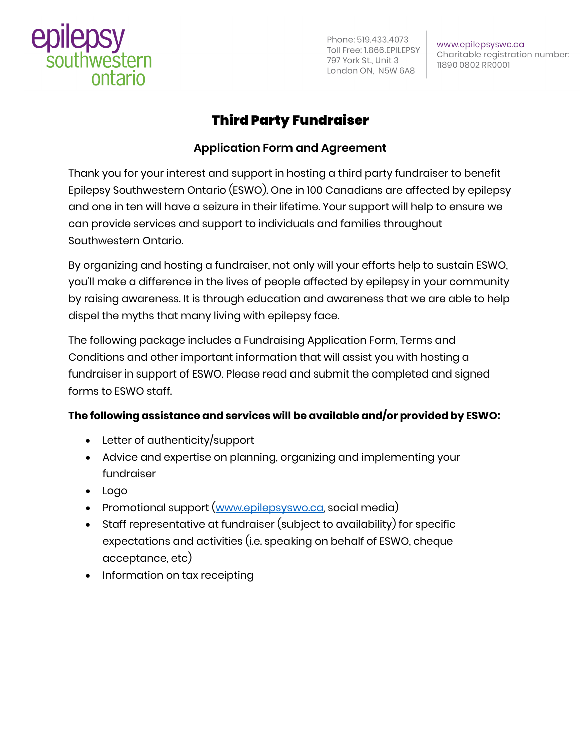

Phone: 519.433.4073 Toll Free: 1.866.EPILEPSY 797 York St., Unit 3 London ON, N5W 6A8

www.epilepsyswo.ca Charitable registration number: 11890 0802 RR0001

# Third Party Fundraiser

### **Application Form and Agreement**

Thank you for your interest and support in hosting a third party fundraiser to benefit Epilepsy Southwestern Ontario (ESWO). One in 100 Canadians are affected by epilepsy and one in ten will have a seizure in their lifetime. Your support will help to ensure we can provide services and support to individuals and families throughout Southwestern Ontario.

By organizing and hosting a fundraiser, not only will your efforts help to sustain ESWO, you'll make a difference in the lives of people affected by epilepsy in your community by raising awareness. It is through education and awareness that we are able to help dispel the myths that many living with epilepsy face.

The following package includes a Fundraising Application Form, Terms and Conditions and other important information that will assist you with hosting a fundraiser in support of ESWO. Please read and submit the completed and signed forms to ESWO staff.

### **The following assistance and services will be available and/or provided by ESWO:**

- Letter of authenticity/support
- Advice and expertise on planning, organizing and implementing your fundraiser
- Logo
- Promotional support [\(www.epilepsyswo.ca,](http://www.epilepsyswo.ca/) social media)
- Staff representative at fundraiser (subject to availability) for specific expectations and activities (i.e. speaking on behalf of ESWO, cheque acceptance, etc)
- Information on tax receipting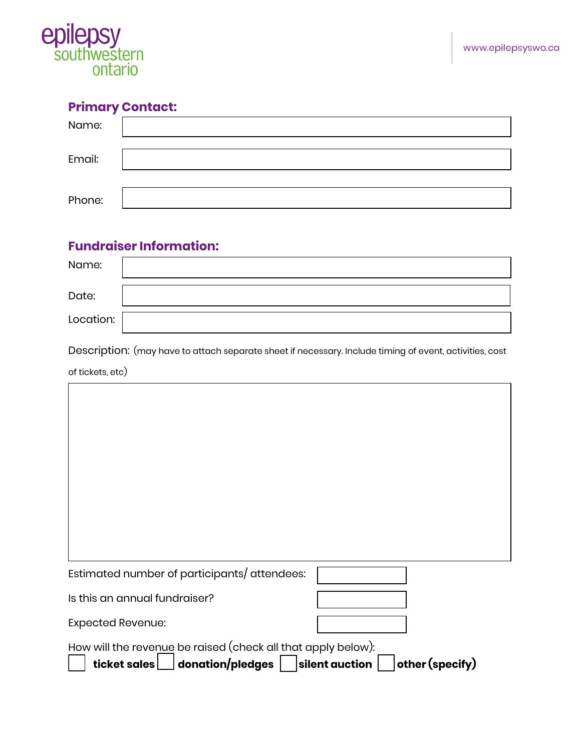

# **Primary Contact:**

| Name:  |  |
|--------|--|
| Email: |  |
|        |  |
| Phone: |  |

## **Fundraiser Information:**

| Name:     |  |
|-----------|--|
| Date:     |  |
| Location: |  |

Description: (may have to attach separate sheet if necessary. Include timing of event, activities, cost

of tickets, etc)

'n

| Estimated number of participants/ attendees:                 |                                   |
|--------------------------------------------------------------|-----------------------------------|
| Is this an annual fundraiser?                                |                                   |
| <b>Expected Revenue:</b>                                     |                                   |
| How will the revenue be raised (check all that apply below): |                                   |
| donation/pledges<br>ticket sales                             | other (specify)<br>silent auction |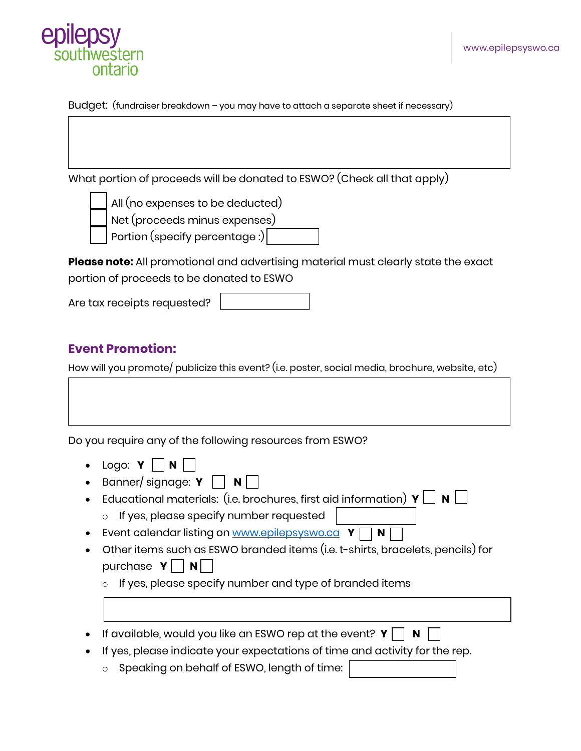

Budget: (fundraiser breakdown – you may have to attach a separate sheet if necessary)

What portion of proceeds will be donated to ESWO? (Check all that apply)



All (no expenses to be deducted)



Net (proceeds minus expenses)

Portion (specify percentage :)

**Please note:** All promotional and advertising material must clearly state the exact portion of proceeds to be donated to ESWO

Are tax receipts requested?

## **Event Promotion:**

How will you promote/ publicize this event? (i.e. poster, social media, brochure, website, etc)

Do you require any of the following resources from ESWO?

- Logo:  $Y \cap N$
- Banner/ signage:  $Y \cap N$
- Educational materials: (i.e. brochures, first aid information)  $\mathbf{Y} \bigsqcup \mathbf{N} \bigsqcup$ 
	- o If yes, please specify number requested
- Event calendar listing on [www.epilepsyswo.ca](http://www.epilepsyswo.ca/) **Y** N N
- Other items such as ESWO branded items (i.e. t-shirts, bracelets, pencils) for purchase  $Y \mid \mid N \mid$ 
	- $\circ$  If yes, please specify number and type of branded items
- If available, would you like an ESWO rep at the event?  $Y \parallel \blacksquare N$
- If yes, please indicate your expectations of time and activity for the rep.
	- o Speaking on behalf of ESWO, length of time: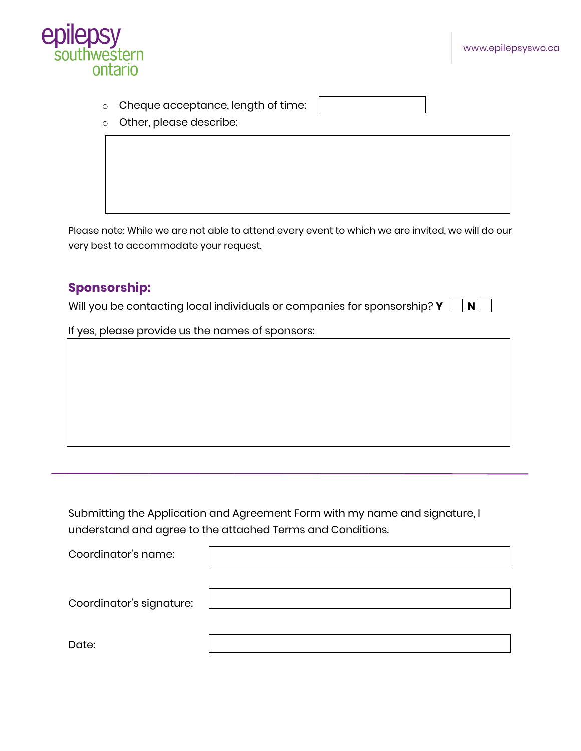

- o Cheque acceptance, length of time:
- o Other, please describe:

Please note: While we are not able to attend every event to which we are invited, we will do our very best to accommodate your request.

### **Sponsorship:**

Will you be contacting local individuals or companies for sponsorship?  $Y \cap N$ 

If yes, please provide us the names of sponsors:

Submitting the Application and Agreement Form with my name and signature, I understand and agree to the attached Terms and Conditions.

| Coordinator's name:      |  |
|--------------------------|--|
|                          |  |
| Coordinator's signature: |  |
|                          |  |
| Date:                    |  |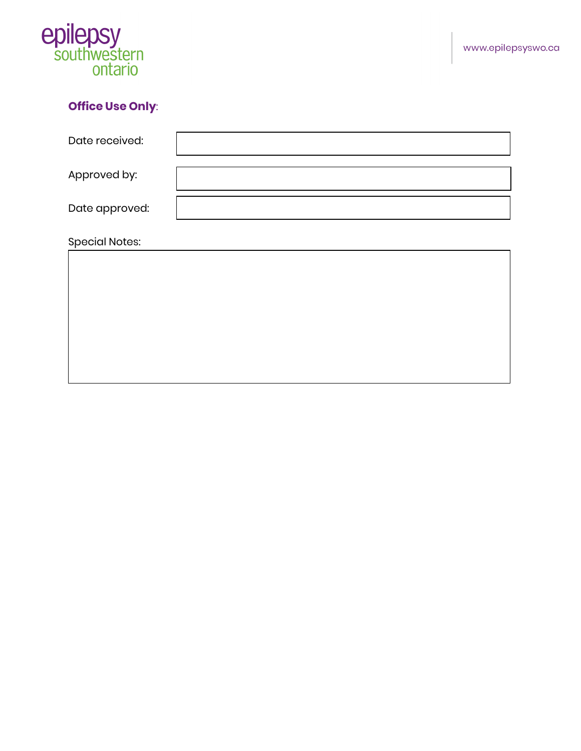

## **Office Use Only**:

| Date received:        |  |
|-----------------------|--|
| Approved by:          |  |
| Date approved:        |  |
| <b>Special Notes:</b> |  |
|                       |  |
|                       |  |
|                       |  |
|                       |  |
|                       |  |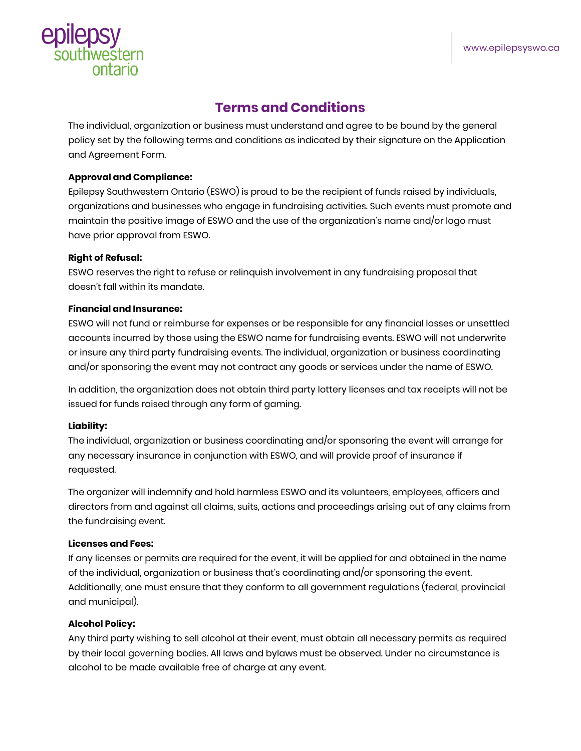

## **Terms and Conditions**

The individual, organization or business must understand and agree to be bound by the general policy set by the following terms and conditions as indicated by their signature on the Application and Agreement Form.

#### **Approval and Compliance:**

Epilepsy Southwestern Ontario (ESWO) is proud to be the recipient of funds raised by individuals, organizations and businesses who engage in fundraising activities. Such events must promote and maintain the positive image of ESWO and the use of the organization's name and/or logo must have prior approval from ESWO.

#### **Right of Refusal:**

ESWO reserves the right to refuse or relinquish involvement in any fundraising proposal that doesn't fall within its mandate.

#### **Financial and Insurance:**

ESWO will not fund or reimburse for expenses or be responsible for any financial losses or unsettled accounts incurred by those using the ESWO name for fundraising events. ESWO will not underwrite or insure any third party fundraising events. The individual, organization or business coordinating and/or sponsoring the event may not contract any goods or services under the name of ESWO.

In addition, the organization does not obtain third party lottery licenses and tax receipts will not be issued for funds raised through any form of gaming.

#### **Liability:**

The individual, organization or business coordinating and/or sponsoring the event will arrange for any necessary insurance in conjunction with ESWO, and will provide proof of insurance if requested.

The organizer will indemnify and hold harmless ESWO and its volunteers, employees, officers and directors from and against all claims, suits, actions and proceedings arising out of any claims from the fundraising event.

#### **Licenses and Fees:**

If any licenses or permits are required for the event, it will be applied for and obtained in the name of the individual, organization or business that's coordinating and/or sponsoring the event. Additionally, one must ensure that they conform to all government regulations (federal, provincial and municipal).

#### **Alcohol Policy:**

Any third party wishing to sell alcohol at their event, must obtain all necessary permits as required by their local governing bodies. All laws and bylaws must be observed. Under no circumstance is alcohol to be made available free of charge at any event.